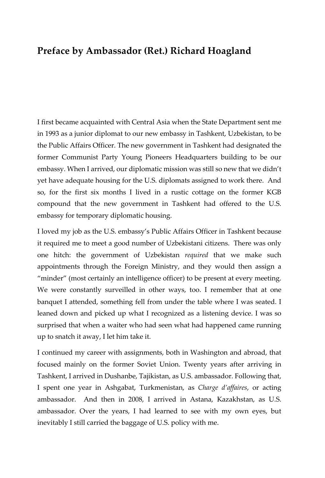## **Preface by Ambassador (Ret.) Richard Hoagland**

I first became acquainted with Central Asia when the State Department sent me in 1993 as a junior diplomat to our new embassy in Tashkent, Uzbekistan, to be the Public Affairs Officer. The new government in Tashkent had designated the former Communist Party Young Pioneers Headquarters building to be our embassy. When I arrived, our diplomatic mission was still so new that we didn't yet have adequate housing for the U.S. diplomats assigned to work there. And so, for the first six months I lived in a rustic cottage on the former KGB compound that the new government in Tashkent had offered to the U.S. embassy for temporary diplomatic housing.

I loved my job as the U.S. embassy's Public Affairs Officer in Tashkent because it required me to meet a good number of Uzbekistani citizens. There was only one hitch: the government of Uzbekistan *required* that we make such appointments through the Foreign Ministry, and they would then assign a "minder" (most certainly an intelligence officer) to be present at every meeting. We were constantly surveilled in other ways, too. I remember that at one banquet I attended, something fell from under the table where I was seated. I leaned down and picked up what I recognized as a listening device. I was so surprised that when a waiter who had seen what had happened came running up to snatch it away, I let him take it.

I continued my career with assignments, both in Washington and abroad, that focused mainly on the former Soviet Union. Twenty years after arriving in Tashkent, I arrived in Dushanbe, Tajikistan, as U.S. ambassador. Following that, I spent one year in Ashgabat, Turkmenistan, as *Charge d'affaires*, or acting ambassador. And then in 2008, I arrived in Astana, Kazakhstan, as U.S. ambassador. Over the years, I had learned to see with my own eyes, but inevitably I still carried the baggage of U.S. policy with me.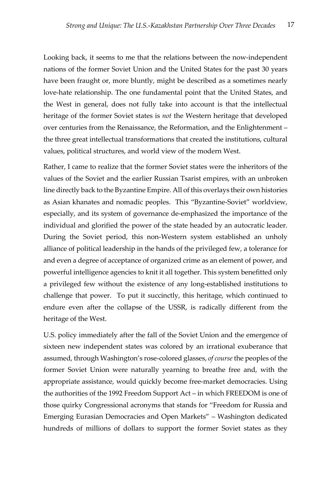Looking back, it seems to me that the relations between the now-independent nations of the former Soviet Union and the United States for the past 30 years have been fraught or, more bluntly, might be described as a sometimes nearly love-hate relationship. The one fundamental point that the United States, and the West in general, does not fully take into account is that the intellectual heritage of the former Soviet states is *not* the Western heritage that developed over centuries from the Renaissance, the Reformation, and the Enlightenment – the three great intellectual transformations that created the institutions, cultural values, political structures, and world view of the modern West.

Rather, I came to realize that the former Soviet states were the inheritors of the values of the Soviet and the earlier Russian Tsarist empires, with an unbroken line directly back to the Byzantine Empire. All of this overlays their own histories as Asian khanates and nomadic peoples. This "Byzantine-Soviet" worldview, especially, and its system of governance de-emphasized the importance of the individual and glorified the power of the state headed by an autocratic leader. During the Soviet period, this non-Western system established an unholy alliance of political leadership in the hands of the privileged few, a tolerance for and even a degree of acceptance of organized crime as an element of power, and powerful intelligence agencies to knit it all together. This system benefitted only a privileged few without the existence of any long-established institutions to challenge that power. To put it succinctly, this heritage, which continued to endure even after the collapse of the USSR, is radically different from the heritage of the West.

U.S. policy immediately after the fall of the Soviet Union and the emergence of sixteen new independent states was colored by an irrational exuberance that assumed, through Washington's rose-colored glasses, *of course* the peoples of the former Soviet Union were naturally yearning to breathe free and, with the appropriate assistance, would quickly become free-market democracies. Using the authorities of the 1992 Freedom Support Act – in which FREEDOM is one of those quirky Congressional acronyms that stands for "Freedom for Russia and Emerging Eurasian Democracies and Open Markets" – Washington dedicated hundreds of millions of dollars to support the former Soviet states as they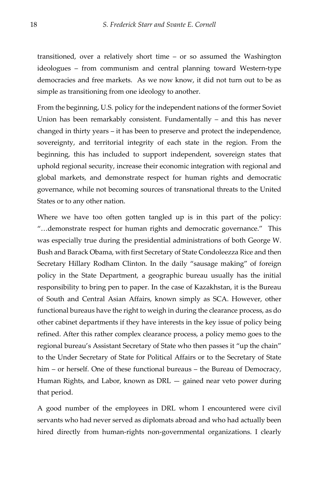transitioned, over a relatively short time – or so assumed the Washington ideologues – from communism and central planning toward Western-type democracies and free markets. As we now know, it did not turn out to be as simple as transitioning from one ideology to another.

From the beginning, U.S. policy for the independent nations of the former Soviet Union has been remarkably consistent. Fundamentally – and this has never changed in thirty years – it has been to preserve and protect the independence, sovereignty, and territorial integrity of each state in the region. From the beginning, this has included to support independent, sovereign states that uphold regional security, increase their economic integration with regional and global markets, and demonstrate respect for human rights and democratic governance, while not becoming sources of transnational threats to the United States or to any other nation.

Where we have too often gotten tangled up is in this part of the policy: "…demonstrate respect for human rights and democratic governance." This was especially true during the presidential administrations of both George W. Bush and Barack Obama, with first Secretary of State Condoleezza Rice and then Secretary Hillary Rodham Clinton. In the daily "sausage making" of foreign policy in the State Department, a geographic bureau usually has the initial responsibility to bring pen to paper. In the case of Kazakhstan, it is the Bureau of South and Central Asian Affairs, known simply as SCA. However, other functional bureaus have the right to weigh in during the clearance process, as do other cabinet departments if they have interests in the key issue of policy being refined. After this rather complex clearance process, a policy memo goes to the regional bureau's Assistant Secretary of State who then passes it "up the chain" to the Under Secretary of State for Political Affairs or to the Secretary of State him – or herself. One of these functional bureaus – the Bureau of Democracy, Human Rights, and Labor, known as DRL — gained near veto power during that period.

A good number of the employees in DRL whom I encountered were civil servants who had never served as diplomats abroad and who had actually been hired directly from human-rights non-governmental organizations. I clearly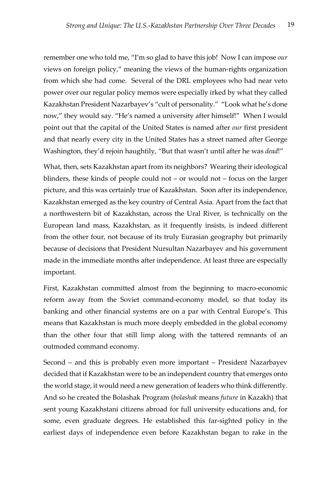remember one who told me, "I'm so glad to have this job! Now I can impose *our* views on foreign policy," meaning the views of the human-rights organization from which she had come. Several of the DRL employees who had near veto power over our regular policy memos were especially irked by what they called Kazakhstan President Nazarbayev's "cult of personality." "Look what he's done now," they would say. "He's named a university after himself!" When I would point out that the capital of the United States is named after *our* first president and that nearly every city in the United States has a street named after George Washington, they'd rejoin haughtily, "But that wasn't until after he was *dead*!"

What, then, sets Kazakhstan apart from its neighbors?Wearing their ideological blinders, these kinds of people could not – or would not – focus on the larger picture, and this was certainly true of Kazakhstan. Soon after its independence, Kazakhstan emerged as the key country of Central Asia. Apart from the fact that a northwestern bit of Kazakhstan, across the Ural River, is technically on the European land mass, Kazakhstan, as it frequently insists, is indeed different from the other four, not because of its truly Eurasian geography but primarily because of decisions that President Nursultan Nazarbayev and his government made in the immediate months after independence. At least three are especially important.

First, Kazakhstan committed almost from the beginning to macro-economic reform away from the Soviet command-economy model, so that today its banking and other financial systems are on a par with Central Europe's. This means that Kazakhstan is much more deeply embedded in the global economy than the other four that still limp along with the tattered remnants of an outmoded command economy.

Second – and this is probably even more important – President Nazarbayev decided that if Kazakhstan were to be an independent country that emerges onto the world stage, it would need a new generation of leaders who think differently. And so he created the Bolashak Program (*bolashak* means *future* in Kazakh) that sent young Kazakhstani citizens abroad for full university educations and, for some, even graduate degrees. He established this far-sighted policy in the earliest days of independence even before Kazakhstan began to rake in the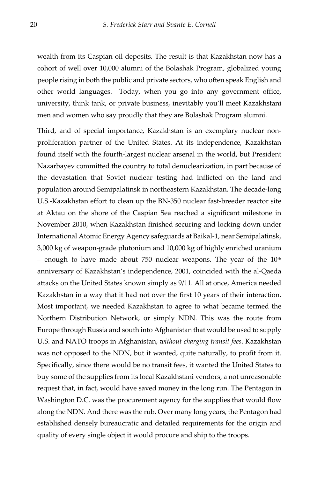wealth from its Caspian oil deposits. The result is that Kazakhstan now has a cohort of well over 10,000 alumni of the Bolashak Program, globalized young people rising in both the public and private sectors, who often speak English and other world languages. Today, when you go into any government office, university, think tank, or private business, inevitably you'll meet Kazakhstani men and women who say proudly that they are Bolashak Program alumni.

Third, and of special importance, Kazakhstan is an exemplary nuclear nonproliferation partner of the United States. At its independence, Kazakhstan found itself with the fourth-largest nuclear arsenal in the world, but President Nazarbayev committed the country to total denuclearization, in part because of the devastation that Soviet nuclear testing had inflicted on the land and population around Semipalatinsk in northeastern Kazakhstan. The decade-long U.S.-Kazakhstan effort to clean up the BN-350 nuclear fast-breeder reactor site at Aktau on the shore of the Caspian Sea reached a significant milestone in November 2010, when Kazakhstan finished securing and locking down under International Atomic Energy Agency safeguards at Baikal-1, near Semipalatinsk, 3,000 kg of weapon-grade plutonium and 10,000 kg of highly enriched uranium  $-$  enough to have made about 750 nuclear weapons. The year of the  $10<sup>th</sup>$ anniversary of Kazakhstan's independence, 2001, coincided with the al-Qaeda attacks on the United States known simply as 9/11. All at once, America needed Kazakhstan in a way that it had not over the first 10 years of their interaction. Most important, we needed Kazakhstan to agree to what became termed the Northern Distribution Network, or simply NDN. This was the route from Europe through Russia and south into Afghanistan that would be used to supply U.S. and NATO troops in Afghanistan, *without charging transit fees*. Kazakhstan was not opposed to the NDN, but it wanted, quite naturally, to profit from it. Specifically, since there would be no transit fees, it wanted the United States to buy some of the supplies from its local Kazakhstani vendors, a not unreasonable request that, in fact, would have saved money in the long run. The Pentagon in Washington D.C. was the procurement agency for the supplies that would flow along the NDN. And there was the rub. Over many long years, the Pentagon had established densely bureaucratic and detailed requirements for the origin and quality of every single object it would procure and ship to the troops.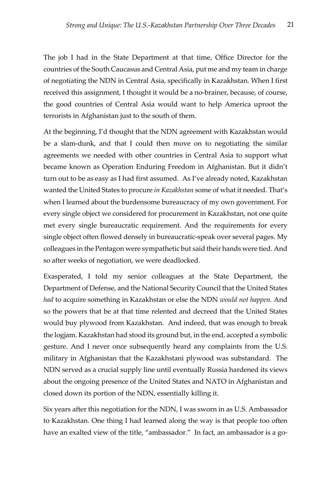The job I had in the State Department at that time, Office Director for the countries of the South Caucasus and Central Asia, put me and my team in charge of negotiating the NDN in Central Asia, specifically in Kazakhstan. When I first received this assignment, I thought it would be a no-brainer, because, of course, the good countries of Central Asia would want to help America uproot the terrorists in Afghanistan just to the south of them.

At the beginning, I'd thought that the NDN agreement with Kazakhstan would be a slam-dunk, and that I could then move on to negotiating the similar agreements we needed with other countries in Central Asia to support what became known as Operation Enduring Freedom in Afghanistan. But it didn't turn out to be as easy as I had first assumed. As I've already noted, Kazakhstan wanted the United States to procure *in Kazakhstan* some of what it needed. That's when I learned about the burdensome bureaucracy of my own government. For every single object we considered for procurement in Kazakhstan, not one quite met every single bureaucratic requirement. And the requirements for every single object often flowed densely in bureaucratic-speak over several pages. My colleagues in the Pentagon were sympathetic but said their hands were tied. And so after weeks of negotiation, we were deadlocked.

Exasperated, I told my senior colleagues at the State Department, the Department of Defense, and the National Security Council that the United States *had* to acquire something in Kazakhstan or else the NDN *would not happen.* And so the powers that be at that time relented and decreed that the United States would buy plywood from Kazakhstan. And indeed, that was enough to break the logjam. Kazakhstan had stood its ground but, in the end, accepted a symbolic gesture. And I never once subsequently heard any complaints from the U.S. military in Afghanistan that the Kazakhstani plywood was substandard. The NDN served as a crucial supply line until eventually Russia hardened its views about the ongoing presence of the United States and NATO in Afghanistan and closed down its portion of the NDN, essentially killing it.

Six years after this negotiation for the NDN, I was sworn in as U.S. Ambassador to Kazakhstan. One thing I had learned along the way is that people too often have an exalted view of the title, "ambassador." In fact, an ambassador is a go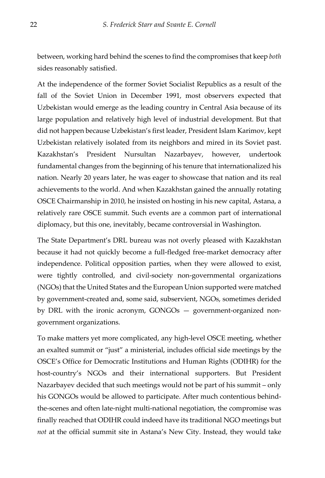between, working hard behind the scenes to find the compromises that keep *both* sides reasonably satisfied.

At the independence of the former Soviet Socialist Republics as a result of the fall of the Soviet Union in December 1991, most observers expected that Uzbekistan would emerge as the leading country in Central Asia because of its large population and relatively high level of industrial development. But that did not happen because Uzbekistan's first leader, President Islam Karimov, kept Uzbekistan relatively isolated from its neighbors and mired in its Soviet past. Kazakhstan's President Nursultan Nazarbayev, however, undertook fundamental changes from the beginning of his tenure that internationalized his nation. Nearly 20 years later, he was eager to showcase that nation and its real achievements to the world. And when Kazakhstan gained the annually rotating OSCE Chairmanship in 2010, he insisted on hosting in his new capital, Astana, a relatively rare OSCE summit. Such events are a common part of international diplomacy, but this one, inevitably, became controversial in Washington.

The State Department's DRL bureau was not overly pleased with Kazakhstan because it had not quickly become a full-fledged free-market democracy after independence. Political opposition parties, when they were allowed to exist, were tightly controlled, and civil-society non-governmental organizations (NGOs) that the United States and the European Union supported were matched by government-created and, some said, subservient, NGOs, sometimes derided by DRL with the ironic acronym, GONGOs — government-organized nongovernment organizations.

To make matters yet more complicated, any high-level OSCE meeting, whether an exalted summit or "just" a ministerial, includes official side meetings by the OSCE's Office for Democratic Institutions and Human Rights (ODIHR) for the host-country's NGOs and their international supporters. But President Nazarbayev decided that such meetings would not be part of his summit – only his GONGOs would be allowed to participate. After much contentious behindthe-scenes and often late-night multi-national negotiation, the compromise was finally reached that ODIHR could indeed have its traditional NGO meetings but *not* at the official summit site in Astana's New City. Instead, they would take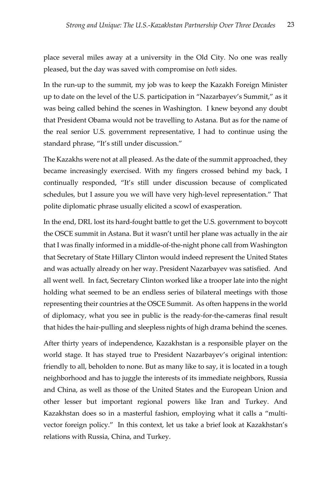place several miles away at a university in the Old City*.* No one was really pleased, but the day was saved with compromise on *both* sides.

In the run-up to the summit, my job was to keep the Kazakh Foreign Minister up to date on the level of the U.S. participation in "Nazarbayev's Summit," as it was being called behind the scenes in Washington. I knew beyond any doubt that President Obama would not be travelling to Astana. But as for the name of the real senior U.S. government representative, I had to continue using the standard phrase, "It's still under discussion."

The Kazakhs were not at all pleased. As the date of the summit approached, they became increasingly exercised. With my fingers crossed behind my back, I continually responded, "It's still under discussion because of complicated schedules, but I assure you we will have very high-level representation." That polite diplomatic phrase usually elicited a scowl of exasperation.

In the end, DRL lost its hard-fought battle to get the U.S. government to boycott the OSCE summit in Astana. But it wasn't until her plane was actually in the air that I was finally informed in a middle-of-the-night phone call from Washington that Secretary of State Hillary Clinton would indeed represent the United States and was actually already on her way. President Nazarbayev was satisfied. And all went well. In fact, Secretary Clinton worked like a trooper late into the night holding what seemed to be an endless series of bilateral meetings with those representing their countries at the OSCE Summit. As often happens in the world of diplomacy, what you see in public is the ready-for-the-cameras final result that hides the hair-pulling and sleepless nights of high drama behind the scenes.

After thirty years of independence, Kazakhstan is a responsible player on the world stage. It has stayed true to President Nazarbayev's original intention: friendly to all, beholden to none. But as many like to say, it is located in a tough neighborhood and has to juggle the interests of its immediate neighbors, Russia and China, as well as those of the United States and the European Union and other lesser but important regional powers like Iran and Turkey. And Kazakhstan does so in a masterful fashion, employing what it calls a "multivector foreign policy." In this context, let us take a brief look at Kazakhstan's relations with Russia, China, and Turkey.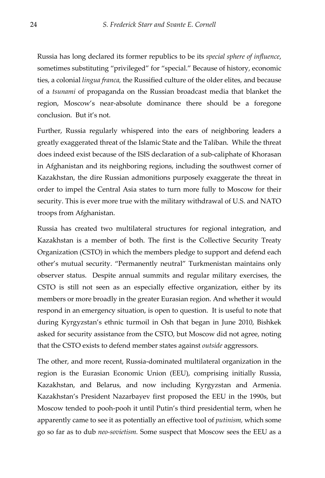Russia has long declared its former republics to be its *special sphere of influence*, sometimes substituting "privileged" for "special." Because of history, economic ties, a colonial *lingua franca,* the Russified culture of the older elites, and because of a *tsunami* of propaganda on the Russian broadcast media that blanket the region, Moscow's near-absolute dominance there should be a foregone conclusion. But it's not.

Further, Russia regularly whispered into the ears of neighboring leaders a greatly exaggerated threat of the Islamic State and the Taliban. While the threat does indeed exist because of the ISIS declaration of a sub-caliphate of Khorasan in Afghanistan and its neighboring regions, including the southwest corner of Kazakhstan, the dire Russian admonitions purposely exaggerate the threat in order to impel the Central Asia states to turn more fully to Moscow for their security. This is ever more true with the military withdrawal of U.S. and NATO troops from Afghanistan.

Russia has created two multilateral structures for regional integration, and Kazakhstan is a member of both. The first is the Collective Security Treaty Organization (CSTO) in which the members pledge to support and defend each other's mutual security. "Permanently neutral" Turkmenistan maintains only observer status. Despite annual summits and regular military exercises, the CSTO is still not seen as an especially effective organization, either by its members or more broadly in the greater Eurasian region. And whether it would respond in an emergency situation, is open to question. It is useful to note that during Kyrgyzstan's ethnic turmoil in Osh that began in June 2010, Bishkek asked for security assistance from the CSTO, but Moscow did not agree, noting that the CSTO exists to defend member states against *outside* aggressors.

The other, and more recent, Russia-dominated multilateral organization in the region is the Eurasian Economic Union (EEU), comprising initially Russia, Kazakhstan, and Belarus, and now including Kyrgyzstan and Armenia. Kazakhstan's President Nazarbayev first proposed the EEU in the 1990s, but Moscow tended to pooh-pooh it until Putin's third presidential term, when he apparently came to see it as potentially an effective tool of *putinism,* which some go so far as to dub *neo-sovietism.* Some suspect that Moscow sees the EEU as a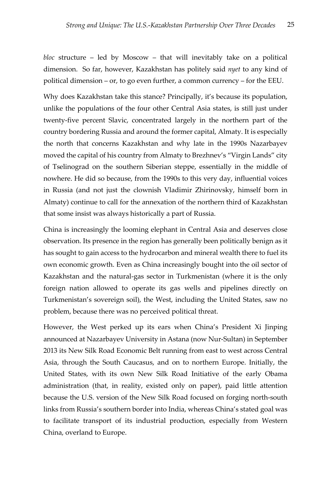*bloc* structure – led by Moscow – that will inevitably take on a political dimension. So far, however, Kazakhstan has politely said *nyet* to any kind of political dimension – or, to go even further, a common currency – for the EEU.

Why does Kazakhstan take this stance? Principally, it's because its population, unlike the populations of the four other Central Asia states, is still just under twenty-five percent Slavic, concentrated largely in the northern part of the country bordering Russia and around the former capital, Almaty. It is especially the north that concerns Kazakhstan and why late in the 1990s Nazarbayev moved the capital of his country from Almaty to Brezhnev's "Virgin Lands" city of Tselinograd on the southern Siberian steppe, essentially in the middle of nowhere. He did so because, from the 1990s to this very day, influential voices in Russia (and not just the clownish Vladimir Zhirinovsky, himself born in Almaty) continue to call for the annexation of the northern third of Kazakhstan that some insist was always historically a part of Russia.

China is increasingly the looming elephant in Central Asia and deserves close observation. Its presence in the region has generally been politically benign as it has sought to gain access to the hydrocarbon and mineral wealth there to fuel its own economic growth. Even as China increasingly bought into the oil sector of Kazakhstan and the natural-gas sector in Turkmenistan (where it is the only foreign nation allowed to operate its gas wells and pipelines directly on Turkmenistan's sovereign soil), the West, including the United States, saw no problem, because there was no perceived political threat.

However, the West perked up its ears when China's President Xi Jinping announced at Nazarbayev University in Astana (now Nur-Sultan) in September 2013 its New Silk Road Economic Belt running from east to west across Central Asia, through the South Caucasus, and on to northern Europe. Initially, the United States, with its own New Silk Road Initiative of the early Obama administration (that, in reality, existed only on paper), paid little attention because the U.S. version of the New Silk Road focused on forging north-south links from Russia's southern border into India, whereas China's stated goal was to facilitate transport of its industrial production, especially from Western China, overland to Europe.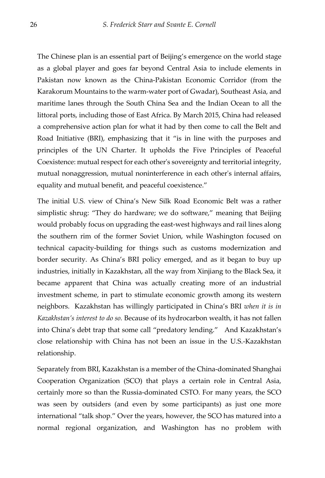The Chinese plan is an essential part of Beijing's emergence on the world stage as a global player and goes far beyond Central Asia to include elements in Pakistan now known as the China-Pakistan Economic Corridor (from the Karakorum Mountains to the warm-water port of Gwadar), Southeast Asia, and maritime lanes through the South China Sea and the Indian Ocean to all the littoral ports, including those of East Africa. By March 2015, China had released a comprehensive action plan for what it had by then come to call the Belt and Road Initiative (BRI), emphasizing that it "is in line with the purposes and principles of the UN Charter. It upholds the Five Principles of Peaceful Coexistence: mutual respect for each other's sovereignty and territorial integrity, mutual nonaggression, mutual noninterference in each other's internal affairs, equality and mutual benefit, and peaceful coexistence."

The initial U.S. view of China's New Silk Road Economic Belt was a rather simplistic shrug: "They do hardware; we do software," meaning that Beijing would probably focus on upgrading the east-west highways and rail lines along the southern rim of the former Soviet Union, while Washington focused on technical capacity-building for things such as customs modernization and border security. As China's BRI policy emerged, and as it began to buy up industries, initially in Kazakhstan, all the way from Xinjiang to the Black Sea, it became apparent that China was actually creating more of an industrial investment scheme, in part to stimulate economic growth among its western neighbors. Kazakhstan has willingly participated in China's BRI *when it is in Kazakhstan's interest to do so.* Because of its hydrocarbon wealth, it has not fallen into China's debt trap that some call "predatory lending." And Kazakhstan's close relationship with China has not been an issue in the U.S.-Kazakhstan relationship.

Separately from BRI, Kazakhstan is a member of the China-dominated Shanghai Cooperation Organization (SCO) that plays a certain role in Central Asia, certainly more so than the Russia-dominated CSTO. For many years, the SCO was seen by outsiders (and even by some participants) as just one more international "talk shop." Over the years, however, the SCO has matured into a normal regional organization, and Washington has no problem with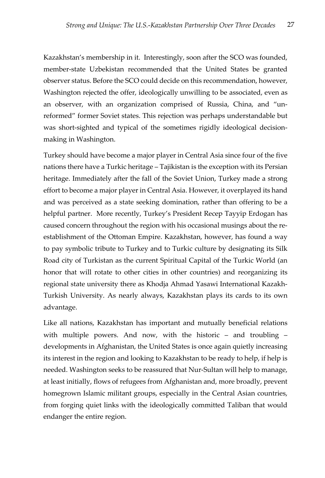Kazakhstan's membership in it. Interestingly, soon after the SCO was founded, member-state Uzbekistan recommended that the United States be granted observer status. Before the SCO could decide on this recommendation, however, Washington rejected the offer, ideologically unwilling to be associated, even as an observer, with an organization comprised of Russia, China, and "unreformed" former Soviet states. This rejection was perhaps understandable but was short-sighted and typical of the sometimes rigidly ideological decisionmaking in Washington.

Turkey should have become a major player in Central Asia since four of the five nations there have a Turkic heritage – Tajikistan is the exception with its Persian heritage. Immediately after the fall of the Soviet Union, Turkey made a strong effort to become a major player in Central Asia. However, it overplayed its hand and was perceived as a state seeking domination, rather than offering to be a helpful partner. More recently, Turkey's President Recep Tayyip Erdogan has caused concern throughout the region with his occasional musings about the reestablishment of the Ottoman Empire. Kazakhstan, however, has found a way to pay symbolic tribute to Turkey and to Turkic culture by designating its Silk Road city of Turkistan as the current Spiritual Capital of the Turkic World (an honor that will rotate to other cities in other countries) and reorganizing its regional state university there as Khodja Ahmad Yasawi International Kazakh-Turkish University. As nearly always, Kazakhstan plays its cards to its own advantage.

Like all nations, Kazakhstan has important and mutually beneficial relations with multiple powers. And now, with the historic – and troubling – developments in Afghanistan, the United States is once again quietly increasing its interest in the region and looking to Kazakhstan to be ready to help, if help is needed. Washington seeks to be reassured that Nur-Sultan will help to manage, at least initially, flows of refugees from Afghanistan and, more broadly, prevent homegrown Islamic militant groups, especially in the Central Asian countries, from forging quiet links with the ideologically committed Taliban that would endanger the entire region.